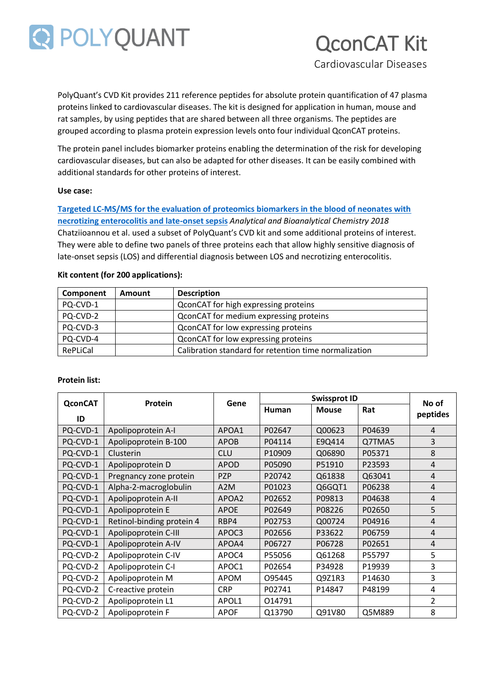

# QconCAT Kit

Cardiovascular Diseases

PolyQuant's CVD Kit provides 211 reference peptides for absolute protein quantification of 47 plasma proteins linked to cardiovascular diseases. The kit is designed for application in human, mouse and rat samples, by using peptides that are shared between all three organisms. The peptides are grouped according to plasma protein expression levels onto four individual QconCAT proteins.

The protein panel includes biomarker proteins enabling the determination of the risk for developing cardiovascular diseases, but can also be adapted for other diseases. It can be easily combined with additional standards for other proteins of interest.

#### **Use case:**

**[Targeted LC-MS/MS for the evaluation of proteomics biomarkers in the blood of neonates with](https://link.springer.com/article/10.1007/s00216-018-1320-3)  [necrotizing enterocolitis and late-onset sepsis](https://link.springer.com/article/10.1007/s00216-018-1320-3)** *Analytical and Bioanalytical Chemistry 2018* Chatziioannou et al. used a subset of PolyQuant's CVD kit and some additional proteins of interest. They were able to define two panels of three proteins each that allow highly sensitive diagnosis of late-onset sepsis (LOS) and differential diagnosis between LOS and necrotizing enterocolitis.

| Component | <b>Amount</b> | <b>Description</b>                                    |
|-----------|---------------|-------------------------------------------------------|
| PQ-CVD-1  |               | QconCAT for high expressing proteins                  |
| PQ-CVD-2  |               | QconCAT for medium expressing proteins                |
| PQ-CVD-3  |               | QconCAT for low expressing proteins                   |
| PQ-CVD-4  |               | QconCAT for low expressing proteins                   |
| RePLiCal  |               | Calibration standard for retention time normalization |

#### **Kit content (for 200 applications):**

| <b>Protein list:</b> |  |
|----------------------|--|
|----------------------|--|

| <b>QconCAT</b> | Protein                   | Gene             |        | No of        |        |                |
|----------------|---------------------------|------------------|--------|--------------|--------|----------------|
|                |                           |                  | Human  | <b>Mouse</b> | Rat    |                |
| ID             |                           |                  |        |              |        | peptides       |
| PQ-CVD-1       | Apolipoprotein A-I        | APOA1            | P02647 | Q00623       | P04639 | $\overline{4}$ |
| PQ-CVD-1       | Apolipoprotein B-100      | <b>APOB</b>      | P04114 | E9Q414       | Q7TMA5 | 3              |
| PQ-CVD-1       | Clusterin                 | <b>CLU</b>       | P10909 | Q06890       | P05371 | 8              |
| PQ-CVD-1       | Apolipoprotein D          | <b>APOD</b>      | P05090 | P51910       | P23593 | $\overline{4}$ |
| PQ-CVD-1       | Pregnancy zone protein    | <b>PZP</b>       | P20742 | Q61838       | Q63041 | $\overline{4}$ |
| PQ-CVD-1       | Alpha-2-macroglobulin     | A <sub>2</sub> M | P01023 | Q6GQT1       | P06238 | $\overline{4}$ |
| PQ-CVD-1       | Apolipoprotein A-II       | APOA2            | P02652 | P09813       | P04638 | $\overline{4}$ |
| PQ-CVD-1       | Apolipoprotein E          | <b>APOE</b>      | P02649 | P08226       | P02650 | 5              |
| PQ-CVD-1       | Retinol-binding protein 4 | RBP4             | P02753 | Q00724       | P04916 | $\overline{4}$ |
| PQ-CVD-1       | Apolipoprotein C-III      | APOC3            | P02656 | P33622       | P06759 | $\overline{4}$ |
| PQ-CVD-1       | Apolipoprotein A-IV       | APOA4            | P06727 | P06728       | P02651 | $\overline{4}$ |
| PQ-CVD-2       | Apolipoprotein C-IV       | APOC4            | P55056 | Q61268       | P55797 | 5              |
| PQ-CVD-2       | Apolipoprotein C-I        | APOC1            | P02654 | P34928       | P19939 | 3              |
| PQ-CVD-2       | Apolipoprotein M          | <b>APOM</b>      | 095445 | Q9Z1R3       | P14630 | 3              |
| PQ-CVD-2       | C-reactive protein        | <b>CRP</b>       | P02741 | P14847       | P48199 | 4              |
| PQ-CVD-2       | Apolipoprotein L1         | APOL1            | 014791 |              |        | 2              |
| PQ-CVD-2       | Apolipoprotein F          | <b>APOF</b>      | Q13790 | Q91V80       | Q5M889 | 8              |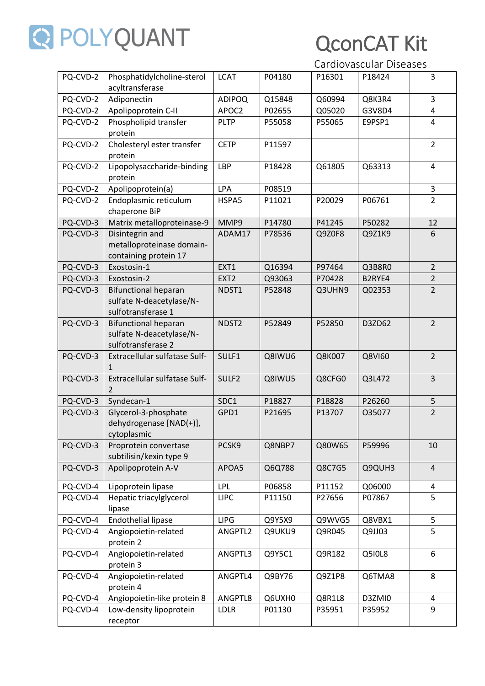

## QconCAT Kit

Cardiovascular Diseases

| PQ-CVD-2 | Phosphatidylcholine-sterol<br>acyltransferase                                 | <b>LCAT</b>       | P04180 | P16301 | P18424 | 3              |
|----------|-------------------------------------------------------------------------------|-------------------|--------|--------|--------|----------------|
| PQ-CVD-2 | Adiponectin                                                                   | <b>ADIPOQ</b>     | Q15848 | Q60994 | Q8K3R4 | 3              |
| PQ-CVD-2 | Apolipoprotein C-II                                                           | APOC2             | P02655 | Q05020 | G3V8D4 | 4              |
| PQ-CVD-2 | Phospholipid transfer                                                         | <b>PLTP</b>       | P55058 | P55065 | E9PSP1 | 4              |
|          | protein                                                                       |                   |        |        |        |                |
| PQ-CVD-2 | Cholesteryl ester transfer<br>protein                                         | <b>CETP</b>       | P11597 |        |        | $\overline{2}$ |
| PQ-CVD-2 | Lipopolysaccharide-binding<br>protein                                         | LBP               | P18428 | Q61805 | Q63313 | 4              |
| PQ-CVD-2 | Apolipoprotein(a)                                                             | <b>LPA</b>        | P08519 |        |        | 3              |
| PQ-CVD-2 | Endoplasmic reticulum<br>chaperone BiP                                        | HSPA5             | P11021 | P20029 | P06761 | $\overline{2}$ |
| PQ-CVD-3 | Matrix metalloproteinase-9                                                    | MMP9              | P14780 | P41245 | P50282 | 12             |
| PQ-CVD-3 | Disintegrin and<br>metalloproteinase domain-<br>containing protein 17         | ADAM17            | P78536 | Q9Z0F8 | Q9Z1K9 | 6              |
| PQ-CVD-3 | Exostosin-1                                                                   | EXT1              | Q16394 | P97464 | Q3B8R0 | $\overline{2}$ |
| PQ-CVD-3 | Exostosin-2                                                                   | EXT <sub>2</sub>  | Q93063 | P70428 | B2RYE4 | $\overline{2}$ |
| PQ-CVD-3 | <b>Bifunctional heparan</b><br>sulfate N-deacetylase/N-<br>sulfotransferase 1 | NDST1             | P52848 | Q3UHN9 | Q02353 | $\overline{2}$ |
| PQ-CVD-3 | <b>Bifunctional heparan</b><br>sulfate N-deacetylase/N-<br>sulfotransferase 2 | NDST <sub>2</sub> | P52849 | P52850 | D3ZD62 | $\overline{2}$ |
| PQ-CVD-3 | Extracellular sulfatase Sulf-<br>$\mathbf{1}$                                 | SULF1             | Q8IWU6 | Q8K007 | Q8VI60 | $\overline{2}$ |
| PQ-CVD-3 | Extracellular sulfatase Sulf-<br>$\mathcal{P}$                                | SULF2             | Q8IWU5 | Q8CFG0 | Q3L472 | 3              |
| PQ-CVD-3 | Syndecan-1                                                                    | SDC1              | P18827 | P18828 | P26260 | 5              |
| PQ-CVD-3 | Glycerol-3-phosphate<br>dehydrogenase [NAD(+)],<br>cytoplasmic                | GPD1              | P21695 | P13707 | O35077 | $\overline{2}$ |
| PQ-CVD-3 | Proprotein convertase<br>subtilisin/kexin type 9                              | PCSK9             | Q8NBP7 | Q80W65 | P59996 | 10             |
| PQ-CVD-3 | Apolipoprotein A-V                                                            | APOA5             | Q6Q788 | Q8C7G5 | Q9QUH3 | $\overline{4}$ |
| PQ-CVD-4 | Lipoprotein lipase                                                            | LPL               | P06858 | P11152 | Q06000 | 4              |
| PQ-CVD-4 | Hepatic triacylglycerol<br>lipase                                             | <b>LIPC</b>       | P11150 | P27656 | P07867 | 5              |
| PQ-CVD-4 | <b>Endothelial lipase</b>                                                     | <b>LIPG</b>       | Q9Y5X9 | Q9WVG5 | Q8VBX1 | 5              |
| PQ-CVD-4 | Angiopoietin-related<br>protein 2                                             | ANGPTL2           | Q9UKU9 | Q9R045 | Q9JJ03 | 5              |
| PQ-CVD-4 | Angiopoietin-related<br>protein 3                                             | ANGPTL3           | Q9Y5C1 | Q9R182 | Q510L8 | 6              |
| PQ-CVD-4 | Angiopoietin-related<br>protein 4                                             | ANGPTL4           | Q9BY76 | Q9Z1P8 | Q6TMA8 | 8              |
| PQ-CVD-4 | Angiopoietin-like protein 8                                                   | ANGPTL8           | Q6UXH0 | Q8R1L8 | D3ZMI0 | 4              |
| PQ-CVD-4 | Low-density lipoprotein                                                       | <b>LDLR</b>       | P01130 | P35951 | P35952 | 9              |
|          | receptor                                                                      |                   |        |        |        |                |